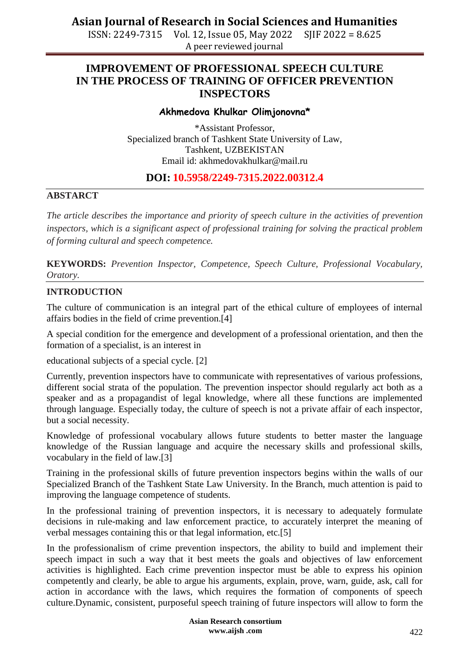ISSN: 2249-7315 Vol. 12, Issue 05, May 2022 SJIF 2022 = 8.625 A peer reviewed journal

### **IMPROVEMENT OF PROFESSIONAL SPEECH CULTURE IN THE PROCESS OF TRAINING OF OFFICER PREVENTION INSPECTORS**

#### **Akhmedova Khulkar Olimjonovna\***

\*Assistant Professor, Specialized branch of Tashkent State University of Law, Tashkent, UZBEKISTAN Email id: akhmedovakhulkar@mail.ru

### **DOI: 10.5958/2249-7315.2022.00312.4**

#### **ABSTARCT**

*The article describes the importance and priority of speech culture in the activities of prevention inspectors, which is a significant aspect of professional training for solving the practical problem of forming cultural and speech competence.*

**KEYWORDS:** *Prevention Inspector, Competence, Speech Culture, Professional Vocabulary, Oratory.*

#### **INTRODUCTION**

The culture of communication is an integral part of the ethical culture of employees of internal affairs bodies in the field of crime prevention.[4]

A special condition for the emergence and development of a professional orientation, and then the formation of a specialist, is an interest in

educational subjects of a special cycle. [2]

Currently, prevention inspectors have to communicate with representatives of various professions, different social strata of the population. The prevention inspector should regularly act both as a speaker and as a propagandist of legal knowledge, where all these functions are implemented through language. Especially today, the culture of speech is not a private affair of each inspector, but a social necessity.

Knowledge of professional vocabulary allows future students to better master the language knowledge of the Russian language and acquire the necessary skills and professional skills, vocabulary in the field of law.[3]

Training in the professional skills of future prevention inspectors begins within the walls of our Specialized Branch of the Tashkent State Law University. In the Branch, much attention is paid to improving the language competence of students.

In the professional training of prevention inspectors, it is necessary to adequately formulate decisions in rule-making and law enforcement practice, to accurately interpret the meaning of verbal messages containing this or that legal information, etc.[5]

In the professionalism of crime prevention inspectors, the ability to build and implement their speech impact in such a way that it best meets the goals and objectives of law enforcement activities is highlighted. Each crime prevention inspector must be able to express his opinion competently and clearly, be able to argue his arguments, explain, prove, warn, guide, ask, call for action in accordance with the laws, which requires the formation of components of speech culture.Dynamic, consistent, purposeful speech training of future inspectors will allow to form the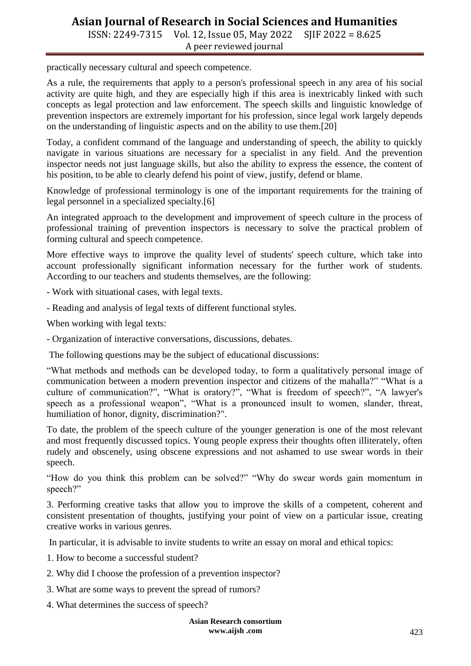# **Asian Journal of Research in Social Sciences and Humanities**

ISSN: 2249-7315 Vol. 12, Issue 05, May 2022 SJIF 2022 = 8.625 A peer reviewed journal

practically necessary cultural and speech competence.

As a rule, the requirements that apply to a person's professional speech in any area of his social activity are quite high, and they are especially high if this area is inextricably linked with such concepts as legal protection and law enforcement. The speech skills and linguistic knowledge of prevention inspectors are extremely important for his profession, since legal work largely depends on the understanding of linguistic aspects and on the ability to use them.[20]

Today, a confident command of the language and understanding of speech, the ability to quickly navigate in various situations are necessary for a specialist in any field. And the prevention inspector needs not just language skills, but also the ability to express the essence, the content of his position, to be able to clearly defend his point of view, justify, defend or blame.

Knowledge of professional terminology is one of the important requirements for the training of legal personnel in a specialized specialty.[6]

An integrated approach to the development and improvement of speech culture in the process of professional training of prevention inspectors is necessary to solve the practical problem of forming cultural and speech competence.

More effective ways to improve the quality level of students' speech culture, which take into account professionally significant information necessary for the further work of students. According to our teachers and students themselves, are the following:

- Work with situational cases, with legal texts.

- Reading and analysis of legal texts of different functional styles.

When working with legal texts:

- Organization of interactive conversations, discussions, debates.

The following questions may be the subject of educational discussions:

"What methods and methods can be developed today, to form a qualitatively personal image of communication between a modern prevention inspector and citizens of the mahalla?" "What is a culture of communication?", "What is oratory?", "What is freedom of speech?", "A lawyer's speech as a professional weapon", "What is a pronounced insult to women, slander, threat, humiliation of honor, dignity, discrimination?".

To date, the problem of the speech culture of the younger generation is one of the most relevant and most frequently discussed topics. Young people express their thoughts often illiterately, often rudely and obscenely, using obscene expressions and not ashamed to use swear words in their speech.

"How do you think this problem can be solved?" "Why do swear words gain momentum in speech?"

3. Performing creative tasks that allow you to improve the skills of a competent, coherent and consistent presentation of thoughts, justifying your point of view on a particular issue, creating creative works in various genres.

In particular, it is advisable to invite students to write an essay on moral and ethical topics:

1. How to become a successful student?

- 2. Why did I choose the profession of a prevention inspector?
- 3. What are some ways to prevent the spread of rumors?
- 4. What determines the success of speech?

**Asian Research consortium www.aijsh .com**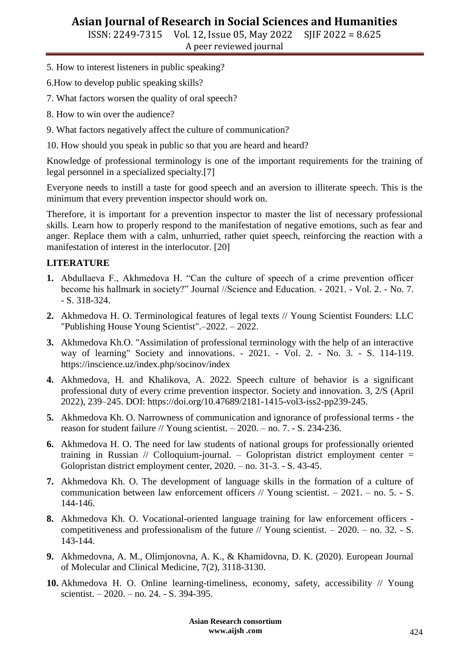## **Asian Journal of Research in Social Sciences and Humanities**

ISSN: 2249-7315 Vol. 12, Issue 05, May 2022 SJIF 2022 = 8.625 A peer reviewed journal

- 5. How to interest listeners in public speaking?
- 6.How to develop public speaking skills?
- 7. What factors worsen the quality of oral speech?
- 8. How to win over the audience?
- 9. What factors negatively affect the culture of communication?
- 10. How should you speak in public so that you are heard and heard?

Knowledge of professional terminology is one of the important requirements for the training of legal personnel in a specialized specialty.[7]

Everyone needs to instill a taste for good speech and an aversion to illiterate speech. This is the minimum that every prevention inspector should work on.

Therefore, it is important for a prevention inspector to master the list of necessary professional skills. Learn how to properly respond to the manifestation of negative emotions, such as fear and anger. Replace them with a calm, unhurried, rather quiet speech, reinforcing the reaction with a manifestation of interest in the interlocutor. [20]

#### **LITERATURE**

- **1.** Abdullaeva F., Akhmedova H. "Can the culture of speech of a crime prevention officer become his hallmark in society?" Journal //Science and Education. - 2021. - Vol. 2. - No. 7. - S. 318-324.
- **2.** Akhmedova H. O. Terminological features of legal texts // Young Scientist Founders: LLC "Publishing House Young Scientist".–2022. – 2022.
- **3.** Akhmedova Kh.O. "Assimilation of professional terminology with the help of an interactive way of learning" Society and innovations. - 2021. - Vol. 2. - No. 3. - S. 114-119. https://inscience.uz/index.php/socinov/index
- **4.** Akhmedova, H. and Khalikova, A. 2022. Speech culture of behavior is a significant professional duty of every crime prevention inspector. Society and innovation. 3, 2/S (April 2022), 239–245. DOI: https://doi.org/10.47689/2181-1415-vol3-iss2-pp239-245.
- **5.** Akhmedova Kh. O. Narrowness of communication and ignorance of professional terms the reason for student failure // Young scientist. – 2020. – no. 7. - S. 234-236.
- **6.** Akhmedova H. O. The need for law students of national groups for professionally oriented training in Russian  $//$  Colloquium-journal. – Golopristan district employment center  $=$ Golopristan district employment center, 2020. – no. 31-3. - S. 43-45.
- **7.** Akhmedova Kh. O. The development of language skills in the formation of a culture of communication between law enforcement officers  $//$  Young scientist.  $-2021$ .  $-$  no. 5.  $-$  S. 144-146.
- **8.** Akhmedova Kh. O. Vocational-oriented language training for law enforcement officers competitiveness and professionalism of the future // Young scientist.  $-2020$ .  $-$  no. 32.  $-$  S. 143-144.
- **9.** Akhmedovna, A. M., Olimjonovna, A. K., & Khamidovna, D. K. (2020). European Journal of Molecular and Clinical Medicine, 7(2), 3118-3130.
- **10.** Akhmedova H. O. Online learning-timeliness, economy, safety, accessibility // Young scientist. – 2020. – no. 24. - S. 394-395.